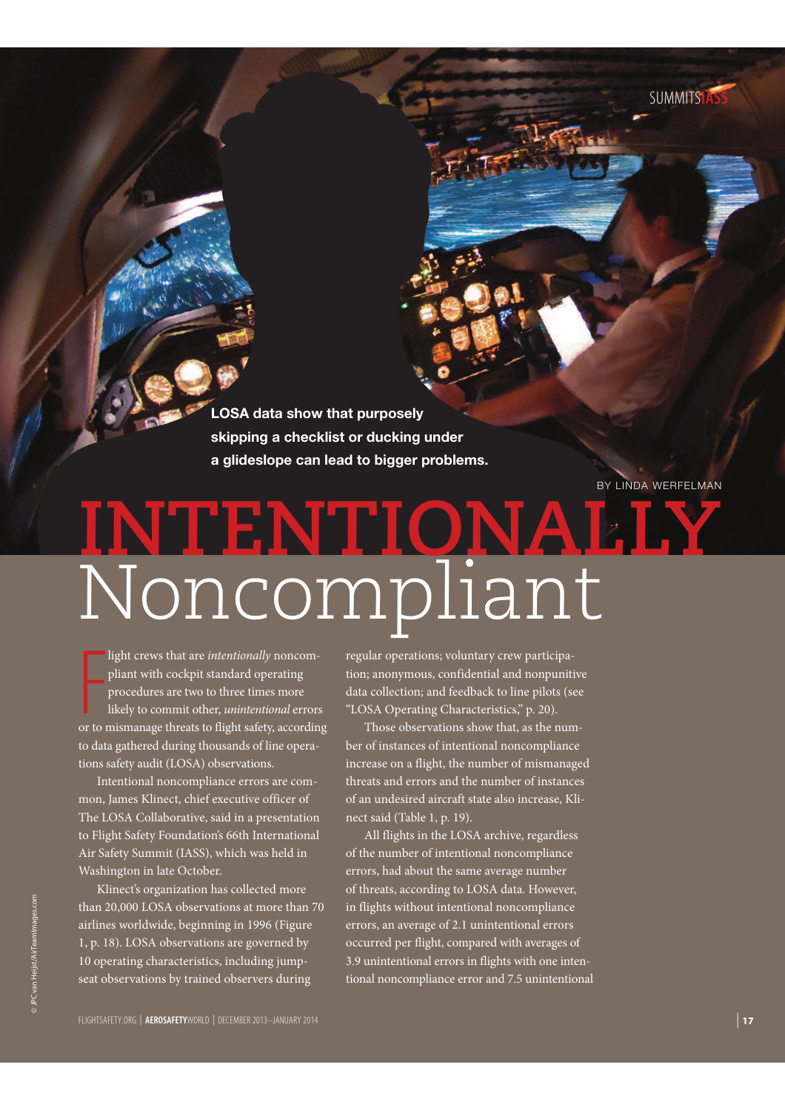**LOSA data show that purposely skipping a checklist or ducking under a glideslope can lead to bigger problems.**

BY LINDA WERFELMAN

# **INTENTIONALLY** Noncompliant

light crews that are *intentionally* noncompliant with cockpit standard operating<br>procedures are two to three times more<br>likely to commit other, *unintentional* errors<br>or to mismanage threats to flight safety, according light crews that are intentionally noncompliant with cockpit standard operating procedures are two to three times more likely to commit other, unintentional errors to data gathered during thousands of line operations safety audit (LOSA) observations.

Intentional noncompliance errors are common, James Klinect, chief executive officer of The LOSA Collaborative, said in a presentation to Flight Safety Foundation's 66th International Air Safety Summit (IASS), which was held in Washington in late October.

Klinect's organization has collected more than 20,000 LOSA observations at more than 70 airlines worldwide, beginning in 1996 (Figure 1, p. 18). LOSA observations are governed by 10 operating characteristics, including jumpseat observations by trained observers during

regular operations; voluntary crew participation; anonymous, confidential and nonpunitive data collection; and feedback to line pilots (see "LOSA Operating Characteristics," p. 20).

Those observations show that, as the number of instances of intentional noncompliance increase on a flight, the number of mismanaged threats and errors and the number of instances of an undesired aircraft state also increase, Klinect said (Table 1, p. 19).

All flights in the LOSA archive, regardless of the number of intentional noncompliance errors, had about the same average number of threats, according to LOSA data. However, in flights without intentional noncompliance errors, an average of 2.1 unintentional errors occurred per flight, compared with averages of 3.9 unintentional errors in flights with one intentional noncompliance error and 7.5 unintentional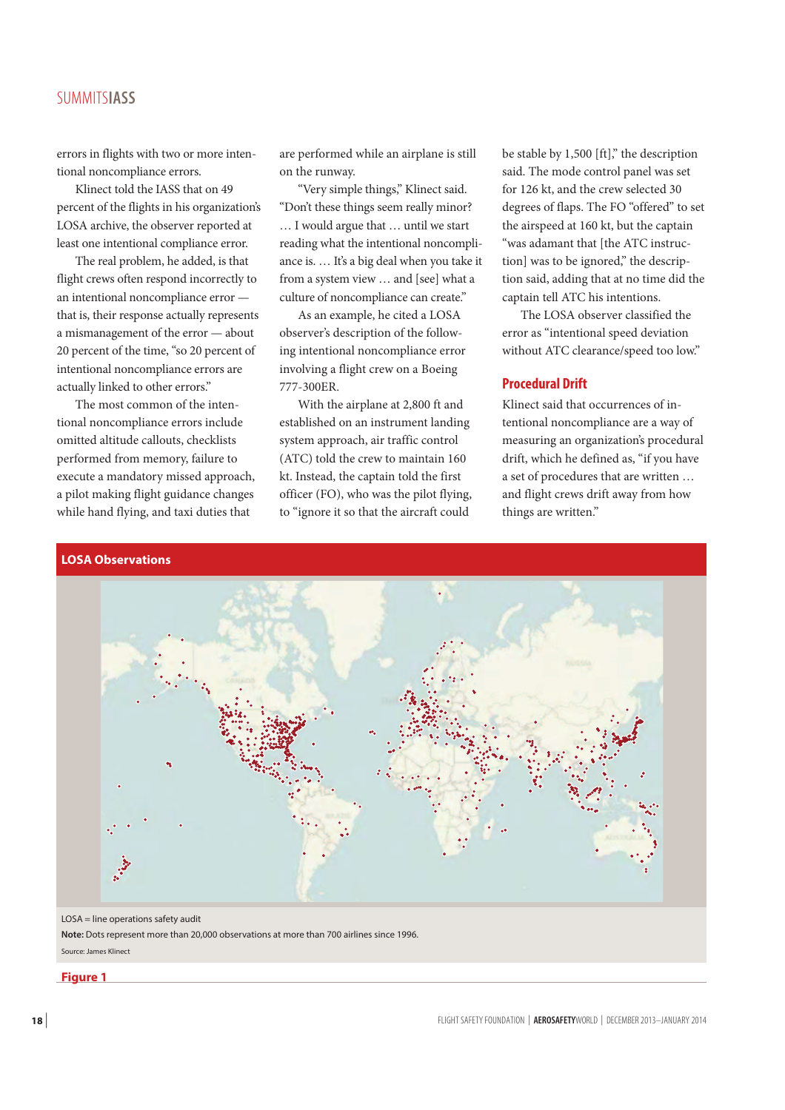# SUMMITS**IASS**

errors in flights with two or more intentional noncompliance errors.

Klinect told the IASS that on 49 percent of the flights in his organization's LOSA archive, the observer reported at least one intentional compliance error.

The real problem, he added, is that flight crews often respond incorrectly to an intentional noncompliance error that is, their response actually represents a mismanagement of the error — about 20 percent of the time, "so 20 percent of intentional noncompliance errors are actually linked to other errors."

The most common of the intentional noncompliance errors include omitted altitude callouts, checklists performed from memory, failure to execute a mandatory missed approach, a pilot making flight guidance changes while hand flying, and taxi duties that

are performed while an airplane is still on the runway.

"Very simple things," Klinect said. "Don't these things seem really minor? … I would argue that … until we start reading what the intentional noncompliance is. … It's a big deal when you take it from a system view … and [see] what a culture of noncompliance can create."

As an example, he cited a LOSA observer's description of the following intentional noncompliance error involving a flight crew on a Boeing 777-300ER.

With the airplane at 2,800 ft and established on an instrument landing system approach, air traffic control (ATC) told the crew to maintain 160 kt. Instead, the captain told the first officer (FO), who was the pilot flying, to "ignore it so that the aircraft could

be stable by 1,500 [ft]," the description said. The mode control panel was set for 126 kt, and the crew selected 30 degrees of flaps. The FO "offered" to set the airspeed at 160 kt, but the captain "was adamant that [the ATC instruction] was to be ignored," the description said, adding that at no time did the captain tell ATC his intentions.

The LOSA observer classified the error as "intentional speed deviation without ATC clearance/speed too low."

# **Procedural Drift**

Klinect said that occurrences of intentional noncompliance are a way of measuring an organization's procedural drift, which he defined as, "if you have a set of procedures that are written … and flight crews drift away from how things are written."



LOSA = line operations safety audit

**Note:** Dots represent more than 20,000 observations at more than 700 airlines since 1996. Source: James Klinect

## **Figure 1**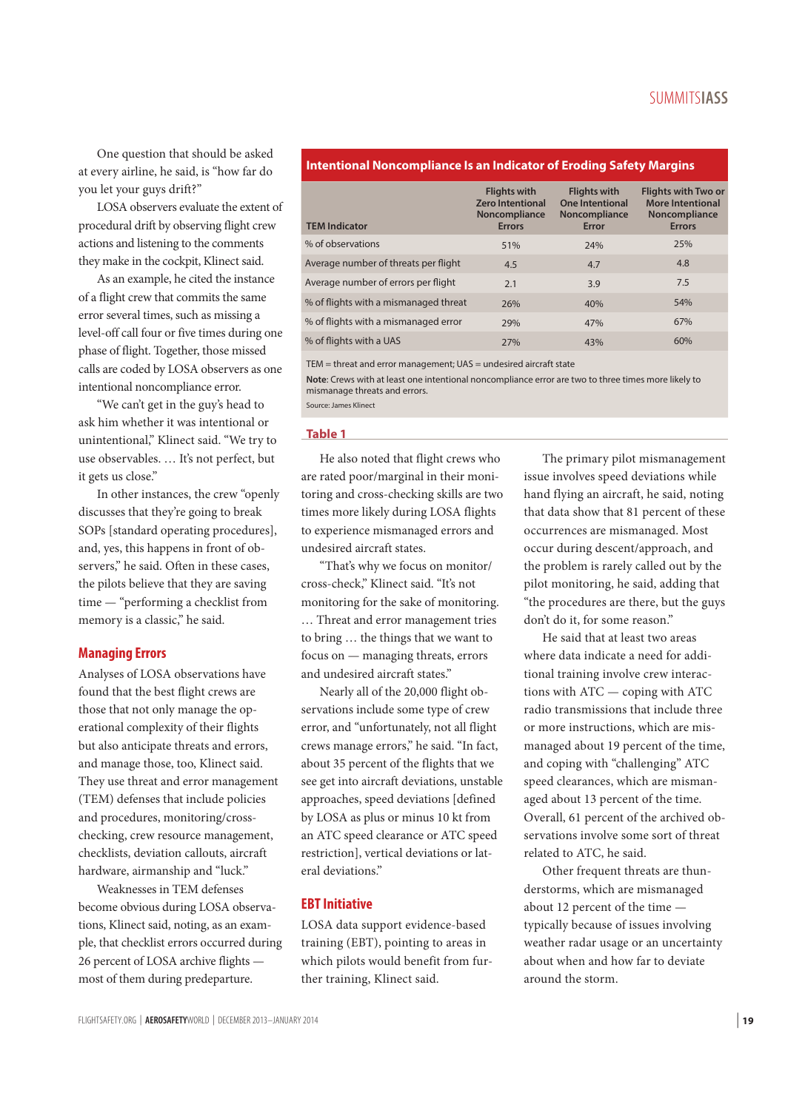One question that should be asked at every airline, he said, is "how far do you let your guys drift?"

LOSA observers evaluate the extent of procedural drift by observing flight crew actions and listening to the comments they make in the cockpit, Klinect said.

As an example, he cited the instance of a flight crew that commits the same error several times, such as missing a level-off call four or five times during one phase of flight. Together, those missed calls are coded by LOSA observers as one intentional noncompliance error.

"We can't get in the guy's head to ask him whether it was intentional or unintentional," Klinect said. "We try to use observables. … It's not perfect, but it gets us close."

In other instances, the crew "openly discusses that they're going to break SOPs [standard operating procedures], and, yes, this happens in front of observers," he said. Often in these cases, the pilots believe that they are saving time — "performing a checklist from memory is a classic," he said.

#### **Managing Errors**

Analyses of LOSA observations have found that the best flight crews are those that not only manage the operational complexity of their flights but also anticipate threats and errors, and manage those, too, Klinect said. They use threat and error management (TEM) defenses that include policies and procedures, monitoring/crosschecking, crew resource management, checklists, deviation callouts, aircraft hardware, airmanship and "luck."

Weaknesses in TEM defenses become obvious during LOSA observations, Klinect said, noting, as an example, that checklist errors occurred during 26 percent of LOSA archive flights most of them during predeparture.

## **Intentional Noncompliance Is an Indicator of Eroding Safety Margins**

| <b>TEM Indicator</b>                  | <b>Flights with</b><br><b>Zero Intentional</b><br><b>Noncompliance</b><br><b>Errors</b> | <b>Flights with</b><br><b>One Intentional</b><br>Noncompliance<br>Error | <b>Flights with Two or</b><br><b>More Intentional</b><br><b>Noncompliance</b><br><b>Errors</b> |
|---------------------------------------|-----------------------------------------------------------------------------------------|-------------------------------------------------------------------------|------------------------------------------------------------------------------------------------|
| % of observations                     | 51%                                                                                     | 24%                                                                     | 25%                                                                                            |
| Average number of threats per flight  | 4.5                                                                                     | 4.7                                                                     | 4.8                                                                                            |
| Average number of errors per flight   | 2.1                                                                                     | 3.9                                                                     | 7.5                                                                                            |
| % of flights with a mismanaged threat | 26%                                                                                     | 40%                                                                     | 54%                                                                                            |
| % of flights with a mismanaged error  | 29%                                                                                     | 47%                                                                     | 67%                                                                                            |
| % of flights with a UAS               | 27%                                                                                     | 43%                                                                     | 60%                                                                                            |

TEM = threat and error management; UAS = undesired aircraft state

**Note**: Crews with at least one intentional noncompliance error are two to three times more likely to mismanage threats and errors.

Source: James Klinect

#### **Table 1**

He also noted that flight crews who are rated poor/marginal in their monitoring and cross-checking skills are two times more likely during LOSA flights to experience mismanaged errors and undesired aircraft states.

"That's why we focus on monitor/ cross-check," Klinect said. "It's not monitoring for the sake of monitoring. … Threat and error management tries to bring … the things that we want to focus on — managing threats, errors and undesired aircraft states."

Nearly all of the 20,000 flight observations include some type of crew error, and "unfortunately, not all flight crews manage errors," he said. "In fact, about 35 percent of the flights that we see get into aircraft deviations, unstable approaches, speed deviations [defined by LOSA as plus or minus 10 kt from an ATC speed clearance or ATC speed restriction], vertical deviations or lateral deviations."

# **EBT Initiative**

LOSA data support evidence-based training (EBT), pointing to areas in which pilots would benefit from further training, Klinect said.

The primary pilot mismanagement issue involves speed deviations while hand flying an aircraft, he said, noting that data show that 81 percent of these occurrences are mismanaged. Most occur during descent/approach, and the problem is rarely called out by the pilot monitoring, he said, adding that "the procedures are there, but the guys don't do it, for some reason."

He said that at least two areas where data indicate a need for additional training involve crew interactions with ATC — coping with ATC radio transmissions that include three or more instructions, which are mismanaged about 19 percent of the time, and coping with "challenging" ATC speed clearances, which are mismanaged about 13 percent of the time. Overall, 61 percent of the archived observations involve some sort of threat related to ATC, he said.

Other frequent threats are thunderstorms, which are mismanaged about 12 percent of the time typically because of issues involving weather radar usage or an uncertainty about when and how far to deviate around the storm.